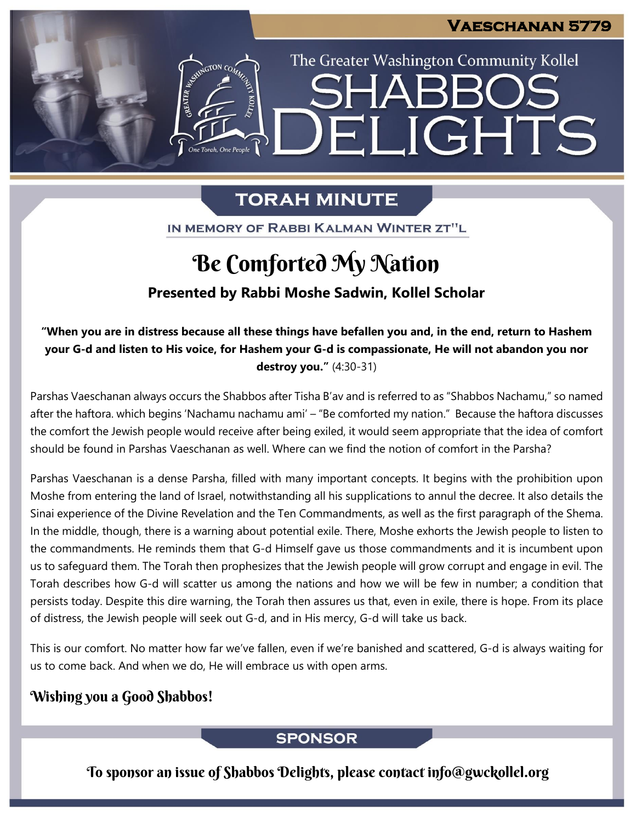The Greater Washington Community Kollel

ELIGHTS

# **TORAH MINUTE**

IN MEMORY OF RABBI KALMAN WINTER ZT"L

# Be Comforted My Nation

## **Presented by Rabbi Moshe Sadwin, Kollel Scholar**

"When you are in distress because all these things have befallen you and, in the end, return to Hashem your G-d and listen to His voice, for Hashem your G-d is compassionate, He will not abandon you nor **destroy you."** (4:30-31)

Parshas Vaeschanan always occurs the Shabbos after Tisha B'av and is referred to as "Shabbos Nachamu," so named after the haftora. which begins 'Nachamu nachamu ami' – "Be comforted my nation." Because the haftora discusses the comfort the Jewish people would receive after being exiled, it would seem appropriate that the idea of comfort should be found in Parshas Vaeschanan as well. Where can we find the notion of comfort in the Parsha?

Parshas Vaeschanan is a dense Parsha, filled with many important concepts. It begins with the prohibition upon Moshe from entering the land of Israel, notwithstanding all his supplications to annul the decree. It also details the Sinai experience of the Divine Revelation and the Ten Commandments, as well as the first paragraph of the Shema. In the middle, though, there is a warning about potential exile. There, Moshe exhorts the Jewish people to listen to the commandments. He reminds them that G-d Himself gave us those commandments and it is incumbent upon us to safeguard them. The Torah then prophesizes that the Jewish people will grow corrupt and engage in evil. The Torah describes how G-d will scatter us among the nations and how we will be few in number; a condition that persists today. Despite this dire warning, the Torah then assures us that, even in exile, there is hope. From its place of distress, the Jewish people will seek out G-d, and in His mercy, G-d will take us back.

This is our comfort. No matter how far we've fallen, even if we're banished and scattered, G-d is always waiting for us to come back. And when we do, He will embrace us with open arms.

### Wishing you a Good Shabbos!

## **SPONSOR**

To sponsor an issue of Shabbos Delights, please contact info@gwckollel.org